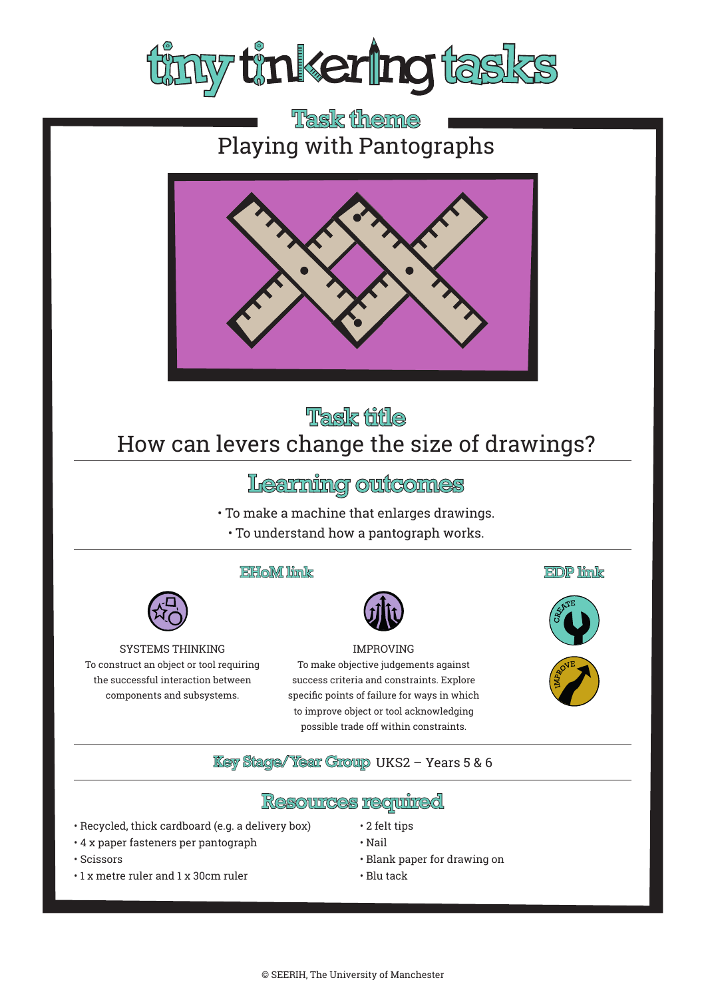

# **Task theme** Playing with Pantographs



# **Task fifle** How can levers change the size of drawings?

## Learning outcomes

- To make a machine that enlarges drawings.
- To understand how a pantograph works.

### EHoM link



#### IMPROVING

To make objective judgements against success criteria and constraints. Explore specific points of failure for ways in which to improve object or tool acknowledging possible trade off within constraints.

**EDP** link





### **Key Stage/Year Group UKS2 - Years 5 & 6**

### **Resources required**

- Recycled, thick cardboard (e.g. a delivery box)
- 4 x paper fasteners per pantograph

SYSTEMS THINKING To construct an object or tool requiring the successful interaction between components and subsystems.

- Nail
- 
- - Blank paper for drawing on
	- Blu tack

• 2 felt tips

- Scissors
- 1 x metre ruler and 1 x 30cm ruler